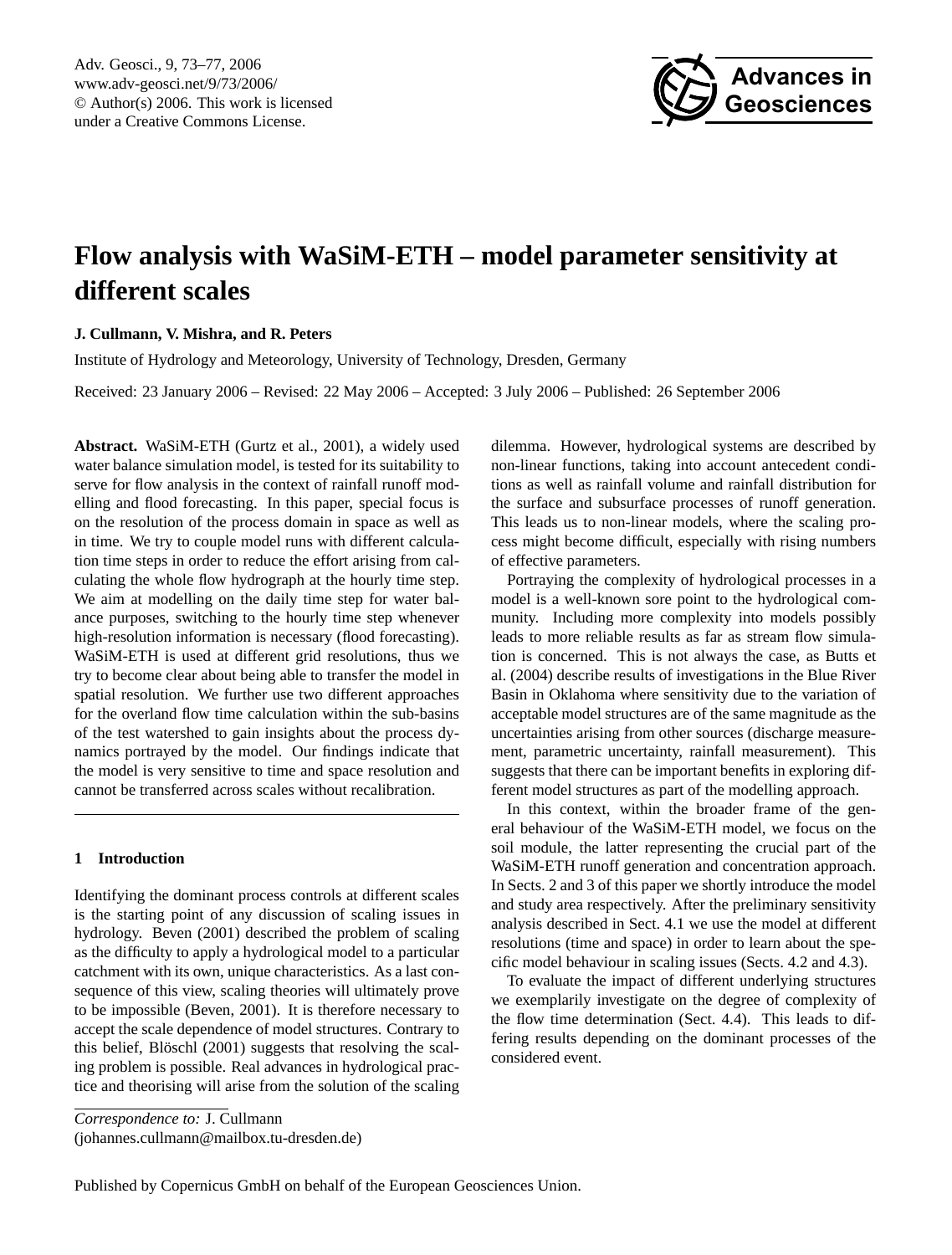Adv. Geosci., 9, 73[–77,](#page-0-0) 2006 www.adv-geosci.net/9/73/2006/ © Author(s) 2006. This work is licensed under a Creative Commons License.



# **Flow analysis with WaSiM-ETH – model parameter sensitivity at different scales**

## **J. Cullmann, V. Mishra, and R. Peters**

Institute of Hydrology and Meteorology, University of Technology, Dresden, Germany

Received: 23 January 2006 – Revised: 22 May 2006 – Accepted: 3 July 2006 – Published: 26 September 2006

**Abstract.** WaSiM-ETH (Gurtz et al., 2001), a widely used water balance simulation model, is tested for its suitability to serve for flow analysis in the context of rainfall runoff modelling and flood forecasting. In this paper, special focus is on the resolution of the process domain in space as well as in time. We try to couple model runs with different calculation time steps in order to reduce the effort arising from calculating the whole flow hydrograph at the hourly time step. We aim at modelling on the daily time step for water balance purposes, switching to the hourly time step whenever high-resolution information is necessary (flood forecasting). WaSiM-ETH is used at different grid resolutions, thus we try to become clear about being able to transfer the model in spatial resolution. We further use two different approaches for the overland flow time calculation within the sub-basins of the test watershed to gain insights about the process dynamics portrayed by the model. Our findings indicate that the model is very sensitive to time and space resolution and cannot be transferred across scales without recalibration.

### **1 Introduction**

Identifying the dominant process controls at different scales is the starting point of any discussion of scaling issues in hydrology. Beven (2001) described the problem of scaling as the difficulty to apply a hydrological model to a particular catchment with its own, unique characteristics. As a last consequence of this view, scaling theories will ultimately prove to be impossible (Beven, 2001). It is therefore necessary to accept the scale dependence of model structures. Contrary to this belief, Blöschl (2001) suggests that resolving the scaling problem is possible. Real advances in hydrological practice and theorising will arise from the solution of the scaling

dilemma. However, hydrological systems are described by non-linear functions, taking into account antecedent conditions as well as rainfall volume and rainfall distribution for the surface and subsurface processes of runoff generation. This leads us to non-linear models, where the scaling process might become difficult, especially with rising numbers of effective parameters.

Portraying the complexity of hydrological processes in a model is a well-known sore point to the hydrological community. Including more complexity into models possibly leads to more reliable results as far as stream flow simulation is concerned. This is not always the case, as Butts et al. (2004) describe results of investigations in the Blue River Basin in Oklahoma where sensitivity due to the variation of acceptable model structures are of the same magnitude as the uncertainties arising from other sources (discharge measurement, parametric uncertainty, rainfall measurement). This suggests that there can be important benefits in exploring different model structures as part of the modelling approach.

In this context, within the broader frame of the general behaviour of the WaSiM-ETH model, we focus on the soil module, the latter representing the crucial part of the WaSiM-ETH runoff generation and concentration approach. In Sects. 2 and 3 of this paper we shortly introduce the model and study area respectively. After the preliminary sensitivity analysis described in Sect. 4.1 we use the model at different resolutions (time and space) in order to learn about the specific model behaviour in scaling issues (Sects. 4.2 and 4.3).

To evaluate the impact of different underlying structures we exemplarily investigate on the degree of complexity of the flow time determination (Sect. 4.4). This leads to differing results depending on the dominant processes of the considered event.

*Correspondence to:* J. Cullmann

<span id="page-0-0"></span>(johannes.cullmann@mailbox.tu-dresden.de)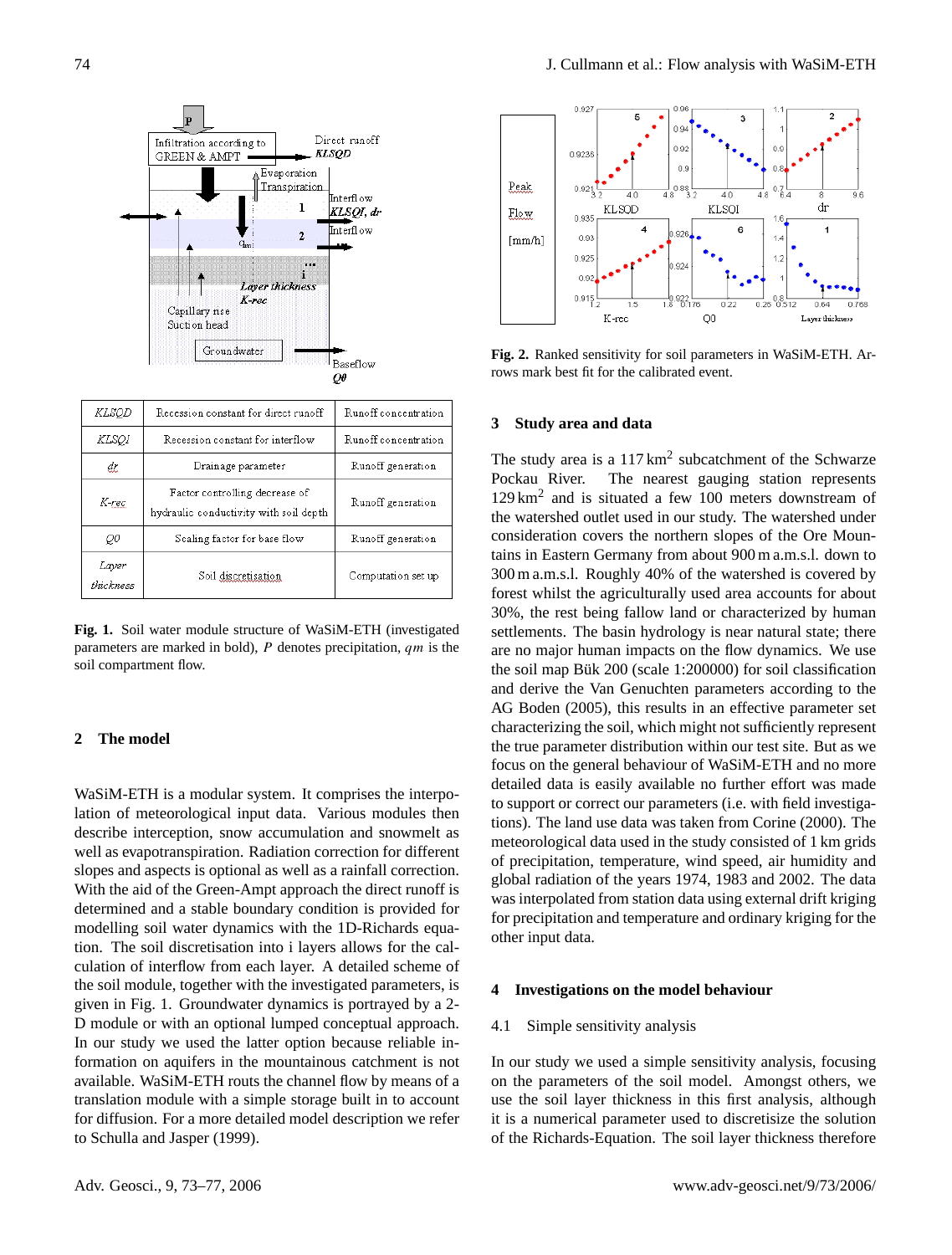

**Fig. 1.** Soil water module structure of WaSiM-ETH (investigated parameters are marked in bold),  $P$  denotes precipitation,  $qm$  is the soil compartment flow.

## **2 The model**

WaSiM-ETH is a modular system. It comprises the interpolation of meteorological input data. Various modules then describe interception, snow accumulation and snowmelt as well as evapotranspiration. Radiation correction for different slopes and aspects is optional as well as a rainfall correction. With the aid of the Green-Ampt approach the direct runoff is determined and a stable boundary condition is provided for modelling soil water dynamics with the 1D-Richards equation. The soil discretisation into i layers allows for the calculation of interflow from each layer. A detailed scheme of the soil module, together with the investigated parameters, is given in Fig. 1. Groundwater dynamics is portrayed by a 2- D module or with an optional lumped conceptual approach. In our study we used the latter option because reliable information on aquifers in the mountainous catchment is not available. WaSiM-ETH routs the channel flow by means of a translation module with a simple storage built in to account for diffusion. For a more detailed model description we refer to Schulla and Jasper (1999).



**Fig. 2.** Ranked sensitivity for soil parameters in WaSiM-ETH. Arrows mark best fit for the calibrated event.

## **3 Study area and data**

The study area is a  $117 \text{ km}^2$  subcatchment of the Schwarze Pockau River. The nearest gauging station represents 129 km<sup>2</sup> and is situated a few 100 meters downstream of the watershed outlet used in our study. The watershed under consideration covers the northern slopes of the Ore Mountains in Eastern Germany from about 900 m a.m.s.l. down to 300 m a.m.s.l. Roughly 40% of the watershed is covered by forest whilst the agriculturally used area accounts for about 30%, the rest being fallow land or characterized by human settlements. The basin hydrology is near natural state; there are no major human impacts on the flow dynamics. We use the soil map Bük  $200$  (scale 1:200000) for soil classification and derive the Van Genuchten parameters according to the AG Boden (2005), this results in an effective parameter set characterizing the soil, which might not sufficiently represent the true parameter distribution within our test site. But as we focus on the general behaviour of WaSiM-ETH and no more detailed data is easily available no further effort was made to support or correct our parameters (i.e. with field investigations). The land use data was taken from Corine (2000). The meteorological data used in the study consisted of 1 km grids of precipitation, temperature, wind speed, air humidity and global radiation of the years 1974, 1983 and 2002. The data was interpolated from station data using external drift kriging for precipitation and temperature and ordinary kriging for the other input data.

#### **4 Investigations on the model behaviour**

#### 4.1 Simple sensitivity analysis

In our study we used a simple sensitivity analysis, focusing on the parameters of the soil model. Amongst others, we use the soil layer thickness in this first analysis, although it is a numerical parameter used to discretisize the solution of the Richards-Equation. The soil layer thickness therefore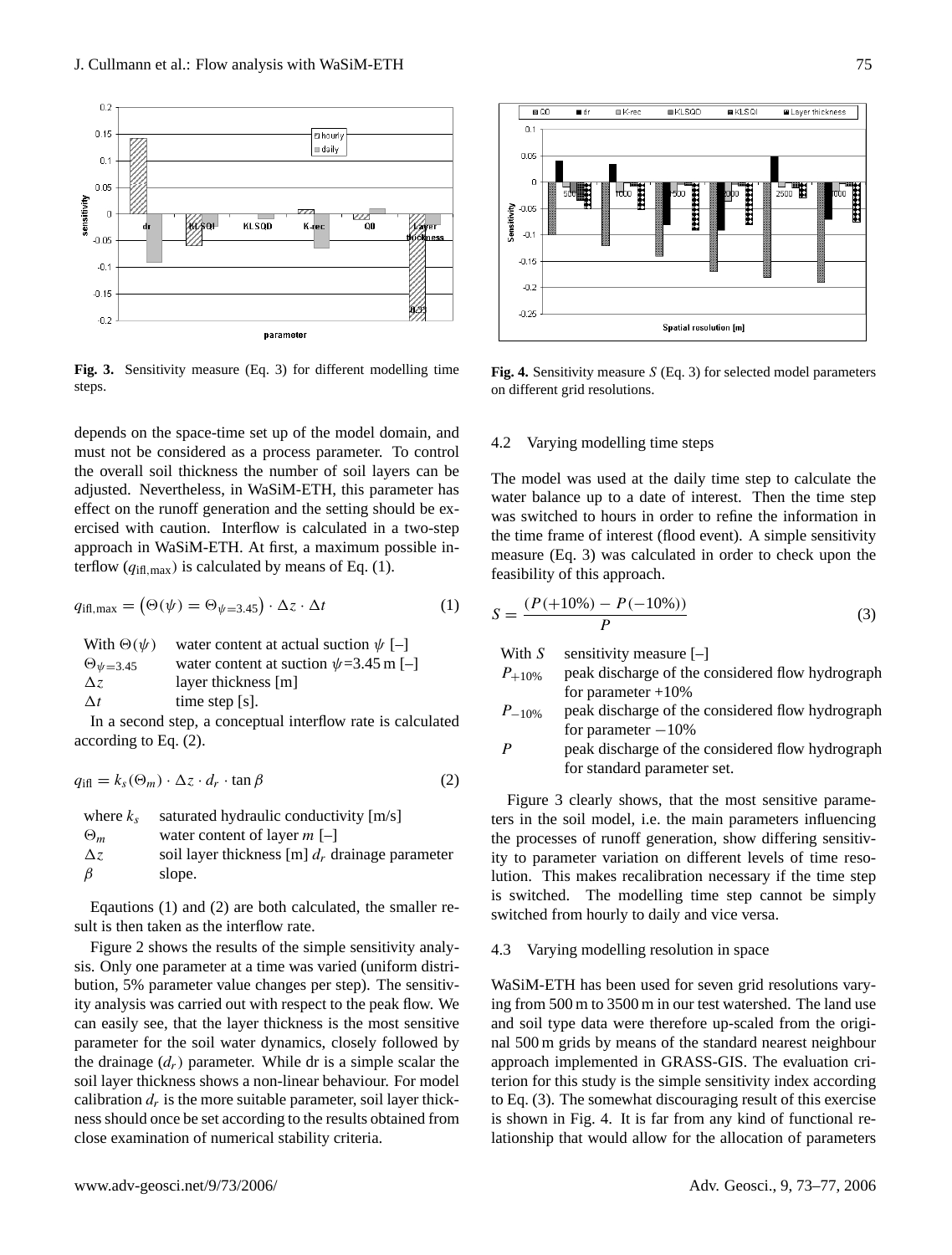

**Fig. 3.** Sensitivity measure (Eq. 3) for different modelling time steps.

depends on the space-time set up of the model domain, and must not be considered as a process parameter. To control the overall soil thickness the number of soil layers can be adjusted. Nevertheless, in WaSiM-ETH, this parameter has effect on the runoff generation and the setting should be exercised with caution. Interflow is calculated in a two-step approach in WaSiM-ETH. At first, a maximum possible interflow  $(q_{\text{ifl,max}})$  is calculated by means of Eq. (1).

$$
q_{\text{iff, max}} = (\Theta(\psi) = \Theta_{\psi=3.45}) \cdot \Delta z \cdot \Delta t \tag{1}
$$

With 
$$
\Theta(\psi)
$$
 water content at actual such that  $\phi$  = 3.45  
\n $\Theta_{\psi=3.45}$  water content at such  $\psi=3.45$  m [-]  
\n $\Delta z$  layer thickness [m]  
\n $\Delta t$  time step [s].

In a second step, a conceptual interflow rate is calculated according to Eq. (2).

$$
q_{\text{iff}} = k_s(\Theta_m) \cdot \Delta z \cdot d_r \cdot \tan \beta \tag{2}
$$

where 
$$
k_s
$$
 saturated hydraulic conductivity [m/s]  
\n $\Theta_m$  water content of layer  $m$  [-]  
\n $\Delta z$  soil layer thickness [m]  $d_r$  drainage parameter  
\n $\beta$  slope.

Eqautions (1) and (2) are both calculated, the smaller result is then taken as the interflow rate.

Figure 2 shows the results of the simple sensitivity analysis. Only one parameter at a time was varied (uniform distribution, 5% parameter value changes per step). The sensitivity analysis was carried out with respect to the peak flow. We can easily see, that the layer thickness is the most sensitive parameter for the soil water dynamics, closely followed by the drainage  $(d_r)$  parameter. While dr is a simple scalar the soil layer thickness shows a non-linear behaviour. For model calibration  $d_r$  is the more suitable parameter, soil layer thickness should once be set according to the results obtained from close examination of numerical stability criteria.



**Fig. 4.** Sensitivity measure S (Eq. 3) for selected model parameters on different grid resolutions.

### 4.2 Varying modelling time steps

The model was used at the daily time step to calculate the water balance up to a date of interest. Then the time step was switched to hours in order to refine the information in the time frame of interest (flood event). A simple sensitivity measure (Eq. 3) was calculated in order to check upon the feasibility of this approach.

$$
S = \frac{(P(+10\%) - P(-10\%))}{P}
$$
 (3)

With  $S$  sensitivity measure  $[-]$ 

- $P_{+10\%}$  peak discharge of the considered flow hydrograph for parameter  $+10%$
- $P_{-10\%}$  peak discharge of the considered flow hydrograph for parameter  $-10%$
- P peak discharge of the considered flow hydrograph for standard parameter set.

Figure 3 clearly shows, that the most sensitive parameters in the soil model, i.e. the main parameters influencing the processes of runoff generation, show differing sensitivity to parameter variation on different levels of time resolution. This makes recalibration necessary if the time step is switched. The modelling time step cannot be simply switched from hourly to daily and vice versa.

#### 4.3 Varying modelling resolution in space

WaSiM-ETH has been used for seven grid resolutions varying from 500 m to 3500 m in our test watershed. The land use and soil type data were therefore up-scaled from the original 500 m grids by means of the standard nearest neighbour approach implemented in GRASS-GIS. The evaluation criterion for this study is the simple sensitivity index according to Eq. (3). The somewhat discouraging result of this exercise is shown in Fig. 4. It is far from any kind of functional relationship that would allow for the allocation of parameters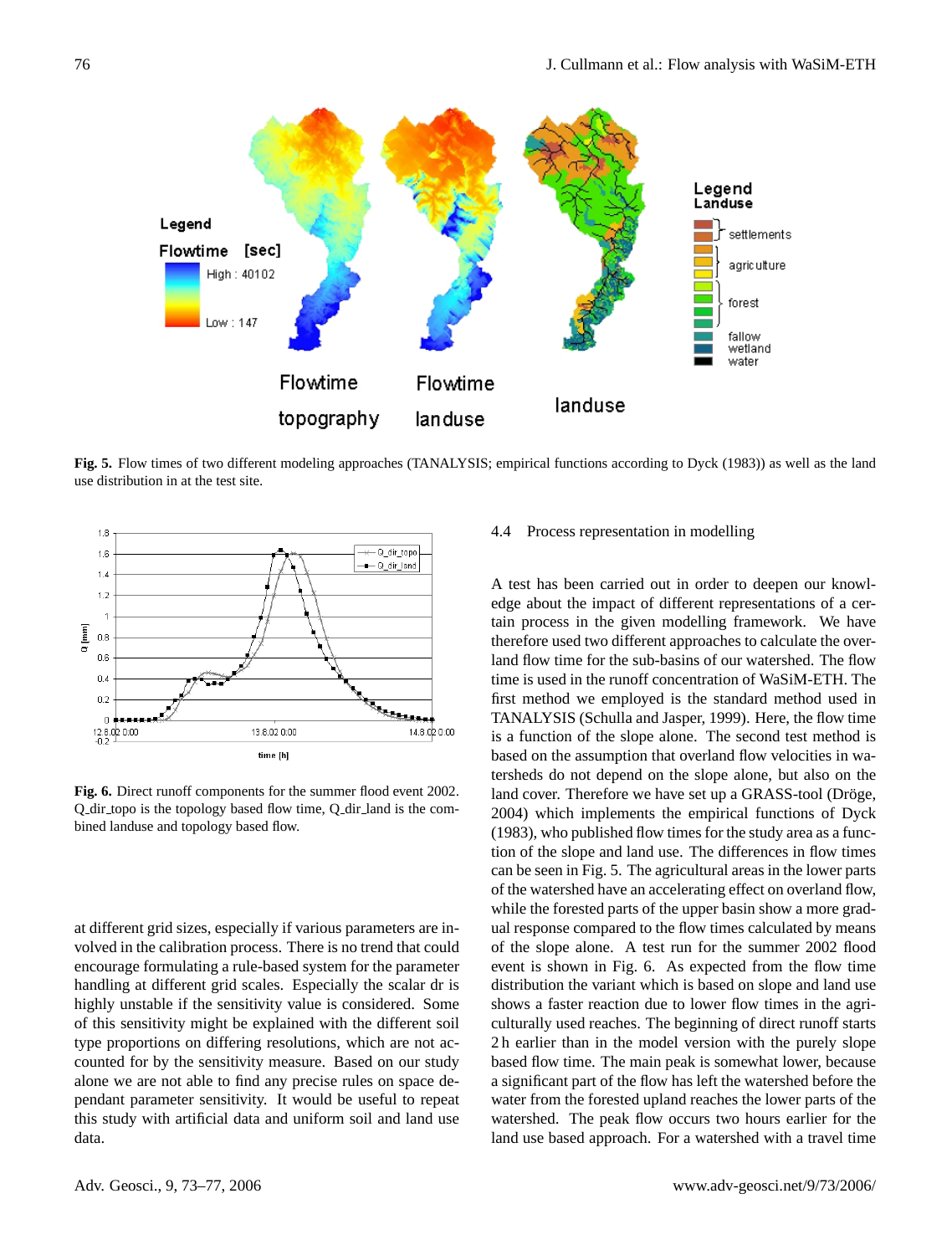

**Fig. 5.** Flow times of two different modeling approaches (TANALYSIS; empirical functions according to Dyck (1983)) as well as the land use distribution in at the test site.



**Fig. 6.** Direct runoff components for the summer flood event 2002. Q dir topo is the topology based flow time, Q dir land is the combined landuse and topology based flow.

at different grid sizes, especially if various parameters are involved in the calibration process. There is no trend that could encourage formulating a rule-based system for the parameter handling at different grid scales. Especially the scalar dr is highly unstable if the sensitivity value is considered. Some of this sensitivity might be explained with the different soil type proportions on differing resolutions, which are not accounted for by the sensitivity measure. Based on our study alone we are not able to find any precise rules on space dependant parameter sensitivity. It would be useful to repeat this study with artificial data and uniform soil and land use data.

## 4.4 Process representation in modelling

A test has been carried out in order to deepen our knowledge about the impact of different representations of a certain process in the given modelling framework. We have therefore used two different approaches to calculate the overland flow time for the sub-basins of our watershed. The flow time is used in the runoff concentration of WaSiM-ETH. The first method we employed is the standard method used in TANALYSIS (Schulla and Jasper, 1999). Here, the flow time is a function of the slope alone. The second test method is based on the assumption that overland flow velocities in watersheds do not depend on the slope alone, but also on the land cover. Therefore we have set up a GRASS-tool (Dröge, 2004) which implements the empirical functions of Dyck (1983), who published flow times for the study area as a function of the slope and land use. The differences in flow times can be seen in Fig. 5. The agricultural areas in the lower parts of the watershed have an accelerating effect on overland flow, while the forested parts of the upper basin show a more gradual response compared to the flow times calculated by means of the slope alone. A test run for the summer 2002 flood event is shown in Fig. 6. As expected from the flow time distribution the variant which is based on slope and land use shows a faster reaction due to lower flow times in the agriculturally used reaches. The beginning of direct runoff starts 2 h earlier than in the model version with the purely slope based flow time. The main peak is somewhat lower, because a significant part of the flow has left the watershed before the water from the forested upland reaches the lower parts of the watershed. The peak flow occurs two hours earlier for the land use based approach. For a watershed with a travel time